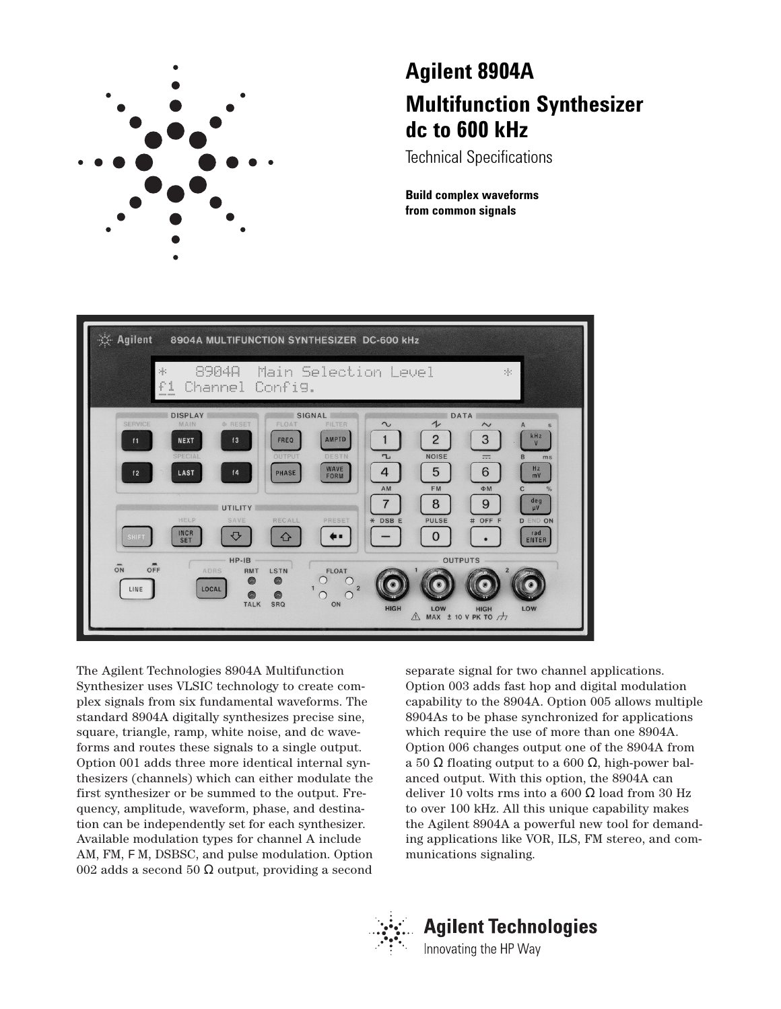

# **Agilent 8904A Multifunction Synthesizer dc to 600 kHz**

Technical Specifications

**Build complex waveforms from common signals**



The Agilent Technologies 8904A Multifunction Synthesizer uses VLSIC technology to create complex signals from six fundamental waveforms. The standard 8904A digitally synthesizes precise sine, square, triangle, ramp, white noise, and dc waveforms and routes these signals to a single output. Option 001 adds three more identical internal synthesizers (channels) which can either modulate the first synthesizer or be summed to the output. Frequency, amplitude, waveform, phase, and destination can be independently set for each synthesizer. Available modulation types for channel A include AM, FM, FM, DSBSC, and pulse modulation. Option 002 adds a second 50  $\Omega$  output, providing a second

separate signal for two channel applications. Option 003 adds fast hop and digital modulation capability to the 8904A. Option 005 allows multiple 8904As to be phase synchronized for applications which require the use of more than one 8904A. Option 006 changes output one of the 8904A from a 50 Ω floating output to a 600 Ω, high-power balanced output. With this option, the 8904A can deliver 10 volts rms into a 600 Ω load from 30 Hz to over 100 kHz. All this unique capability makes the Agilent 8904A a powerful new tool for demanding applications like VOR, ILS, FM stereo, and communications signaling.



# **Agilent Technologies**

Innovating the HP Way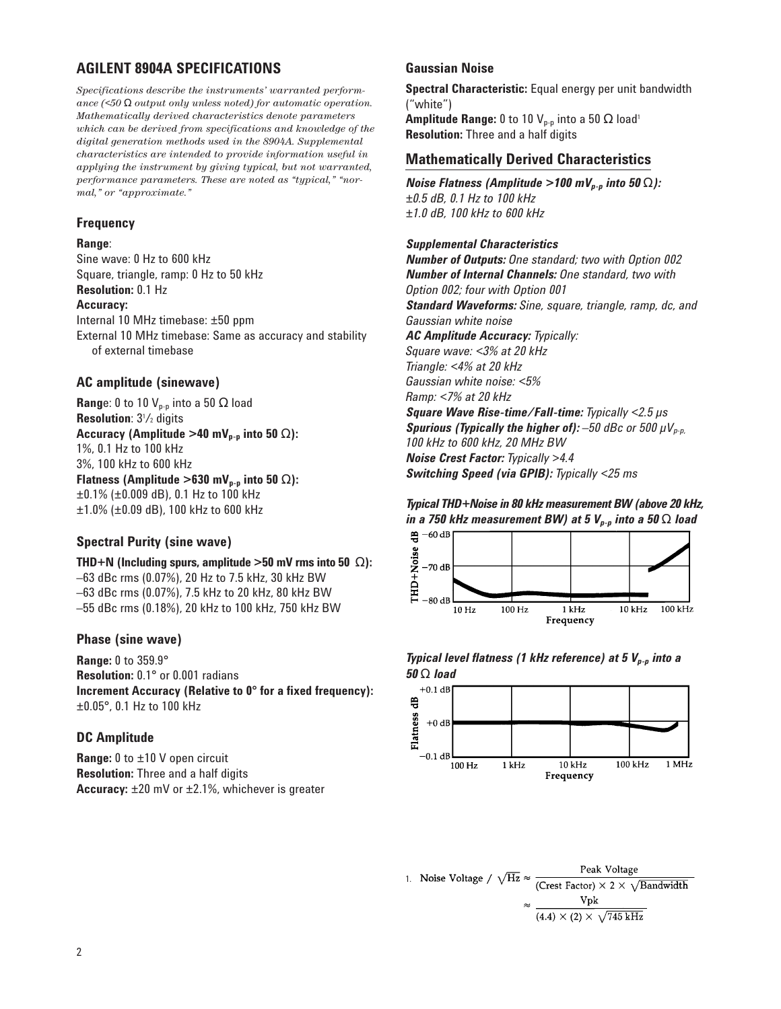# **AGILENT 8904A SPECIFICATIONS**

*Specifications describe the instruments' warranted performance (<50* Ω *output only unless noted) for automatic operation. Mathematically derived characteristics denote parameters which can be derived from specifications and knowledge of the digital generation methods used in the 8904A. Supplemental characteristics are intended to provide information useful in applying the instrument by giving typical, but not warranted, performance parameters. These are noted as "typical," "normal," or "approximate."*

#### **Frequency**

#### **Range**:

Sine wave: 0 Hz to 600 kHz Square, triangle, ramp: 0 Hz to 50 kHz **Resolution:** 0.1 Hz **Accuracy:** Internal 10 MHz timebase: ±50 ppm External 10 MHz timebase: Same as accuracy and stability of external timebase

## **AC amplitude (sinewave)**

**Range:** 0 to 10  $V_{p-p}$  into a 50  $\Omega$  load **Resolution**:  $3^{1}/2$  digits **Accuracy (Amplitude >40 mV<sub>p-p</sub> into 50 Ω):** 1%, 0.1 Hz to 100 kHz 3%, 100 kHz to 600 kHz **Flatness (Amplitude >630 mV<sub>p-p</sub> into 50**  $\Omega$ **):** ±0.1% (±0.009 dB), 0.1 Hz to 100 kHz ±1.0% (±0.09 dB), 100 kHz to 600 kHz

## **Spectral Purity (sine wave)**

**THD+N (Including spurs, amplitude >50 mV rms into 50** Ω**):** –63 dBc rms (0.07%), 20 Hz to 7.5 kHz, 30 kHz BW –63 dBc rms (0.07%), 7.5 kHz to 20 kHz, 80 kHz BW –55 dBc rms (0.18%), 20 kHz to 100 kHz, 750 kHz BW

#### **Phase (sine wave)**

**Range:** 0 to 359.9° **Resolution:** 0.1° or 0.001 radians **Increment Accuracy (Relative to 0° for a fixed frequency):** ±0.05°, 0.1 Hz to 100 kHz

#### **DC Amplitude**

**Range:** 0 to ±10 V open circuit **Resolution:** Three and a half digits **Accuracy:** ±20 mV or ±2.1%, whichever is greater

## **Gaussian Noise**

**Spectral Characteristic:** Equal energy per unit bandwidth ("white") **Amplitude Range:** 0 to 10  $V_{p-p}$  into a 50  $\Omega$  load<sup>1</sup> **Resolution:** Three and a half digits

## **Mathematically Derived Characteristics**

*Noise Flatness (Amplitude >100 mV<sub>p-p</sub> into 50 Ω): ±0.5 dB, 0.1 Hz to 100 kHz ±1.0 dB, 100 kHz to 600 kHz*

## *Supplemental Characteristics*

*Number of Outputs: One standard; two with Option 002 Number of Internal Channels: One standard, two with Option 002; four with Option 001 Standard Waveforms: Sine, square, triangle, ramp, dc, and Gaussian white noise AC Amplitude Accuracy: Typically: Square wave: <3% at 20 kHz Triangle: <4% at 20 kHz Gaussian white noise: <5% Ramp: <7% at 20 kHz Square Wave Rise-time/Fall-time: Typically <2.5 µs Spurious (Typically the higher of):*  $-50$  *dBc or 500*  $\mu$ *V<sub>p-p</sub>, 100 kHz to 600 kHz, 20 MHz BW Noise Crest Factor: Typically >4.4 Switching Speed (via GPIB): Typically <25 ms*

*Typical THD+Noise in 80 kHz measurement BW (above 20 kHz, in a 750 kHz measurement BW) at 5 Vp-p into a 50* Ω *load*



#### *Typical level flatness (1 kHz reference) at 5 V<sub>p-p</sub> into a 50* Ω *load*



1. Noise Voltage /  $\sqrt{\text{Hz}} \approx \frac{1 \text{ cm} \cdot \text{cm} \cdot \text{cm} \cdot \text{cm} \cdot \text{cm}}{\text{(Crest Factor)} \times 2 \times \sqrt{\text{Bandwidth}}}$ Peak Voltage  $\text{v} \propto \frac{\text{Vpk}}{(4.4) \times (2) \times \sqrt{745 \text{ kHz}}}.$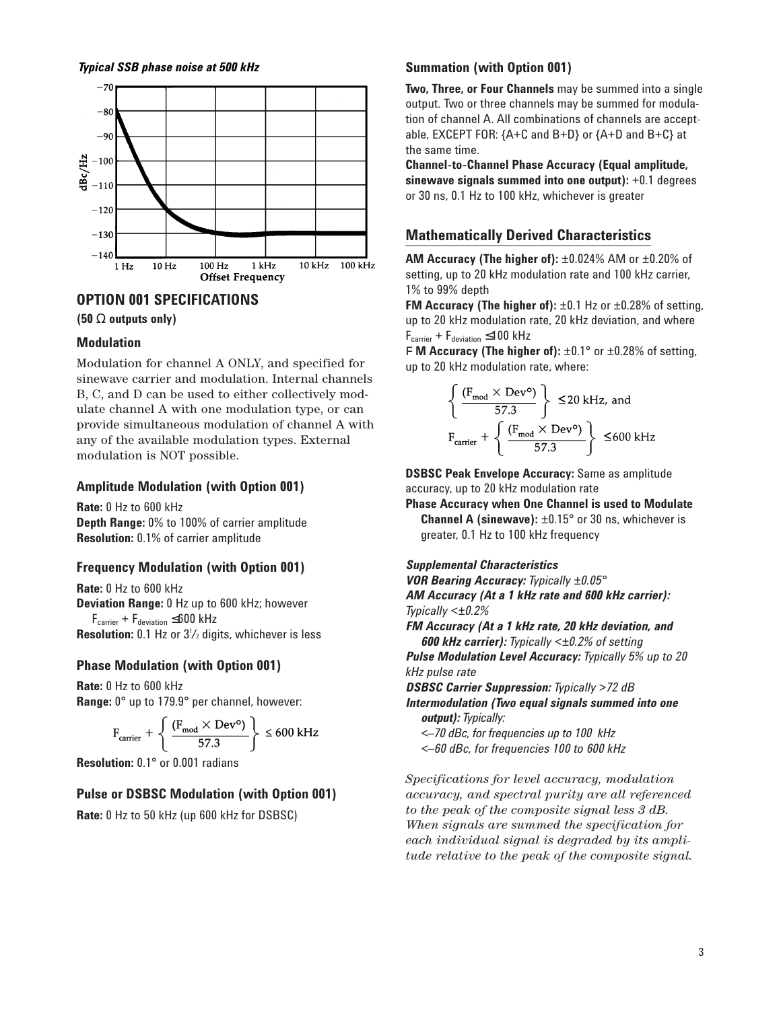*Typical SSB phase noise at 500 kHz*



#### **OPTION 001 SPECIFICATIONS**

**(50** Ω **outputs only)**

#### **Modulation**

Modulation for channel A ONLY, and specified for sinewave carrier and modulation. Internal channels B, C, and D can be used to either collectively modulate channel A with one modulation type, or can provide simultaneous modulation of channel A with any of the available modulation types. External modulation is NOT possible.

#### **Amplitude Modulation (with Option 001)**

**Rate:** 0 Hz to 600 kHz **Depth Range:** 0% to 100% of carrier amplitude **Resolution:** 0.1% of carrier amplitude

## **Frequency Modulation (with Option 001)**

**Rate:** 0 Hz to 600 kHz **Deviation Range:** 0 Hz up to 600 kHz; however  $F_{\text{carrier}} + F_{\text{deviation}} \leq 600 \text{ kHz}$ **Resolution:** 0.1 Hz or 3<sup>1</sup>/<sub>2</sub> digits, whichever is less

## **Phase Modulation (with Option 001)**

**Rate:** 0 Hz to 600 kHz **Range:** 0° up to 179.9° per channel, however:

$$
F_{\text{carrier}} + \left\{ \frac{(F_{\text{mod}} \times \text{Dev}^{\mathsf{o}})}{57.3} \right\} \le 600 \text{ kHz}
$$

**Resolution:** 0.1° or 0.001 radians

## **Pulse or DSBSC Modulation (with Option 001)**

**Rate:** 0 Hz to 50 kHz (up 600 kHz for DSBSC)

## **Summation (with Option 001)**

**Two, Three, or Four Channels** may be summed into a single output. Two or three channels may be summed for modulation of channel A. All combinations of channels are acceptable, EXCEPT FOR: {A+C and B+D} or {A+D and B+C} at the same time.

**Channel-to-Channel Phase Accuracy (Equal amplitude, sinewave signals summed into one output):** +0.1 degrees or 30 ns, 0.1 Hz to 100 kHz, whichever is greater

## **Mathematically Derived Characteristics**

**AM Accuracy (The higher of):** ±0.024% AM or ±0.20% of setting, up to 20 kHz modulation rate and 100 kHz carrier, 1% to 99% depth

**FM Accuracy (The higher of):** ±0.1 Hz or ±0.28% of setting, up to 20 kHz modulation rate, 20 kHz deviation, and where  $F_{\text{carrier}} + F_{\text{deviation}} \leq 100$  kHz

F **M Accuracy (The higher of):** ±0.1° or ±0.28% of setting, up to 20 kHz modulation rate, where:

$$
\left\{ \frac{(F_{\text{mod}} \times \text{Dev}^{\circ})}{57.3} \right\} \le 20 \text{ kHz, and}
$$
\n
$$
F_{\text{carrier}} + \left\{ \frac{(F_{\text{mod}} \times \text{Dev}^{\circ})}{57.3} \right\} \le 600 \text{ kHz}
$$

**DSBSC Peak Envelope Accuracy:** Same as amplitude accuracy, up to 20 kHz modulation rate

**Phase Accuracy when One Channel is used to Modulate Channel A (sinewave):** ±0.15° or 30 ns, whichever is greater, 0.1 Hz to 100 kHz frequency

#### *Supplemental Characteristics*

*VOR Bearing Accuracy: Typically ±0.05° AM Accuracy (At a 1 kHz rate and 600 kHz carrier): Typically <±0.2% FM Accuracy (At a 1 kHz rate, 20 kHz deviation, and 600 kHz carrier): Typically <±0.2% of setting Pulse Modulation Level Accuracy: Typically 5% up to 20*

*kHz pulse rate DSBSC Carrier Suppression: Typically >72 dB* 

*Intermodulation (Two equal signals summed into one output): Typically:* 

*<–70 dBc, for frequencies up to 100 kHz*

*<–60 dBc, for frequencies 100 to 600 kHz*

*Specifications for level accuracy, modulation accuracy, and spectral purity are all referenced to the peak of the composite signal less 3 dB. When signals are summed the specification for each individual signal is degraded by its amplitude relative to the peak of the composite signal.*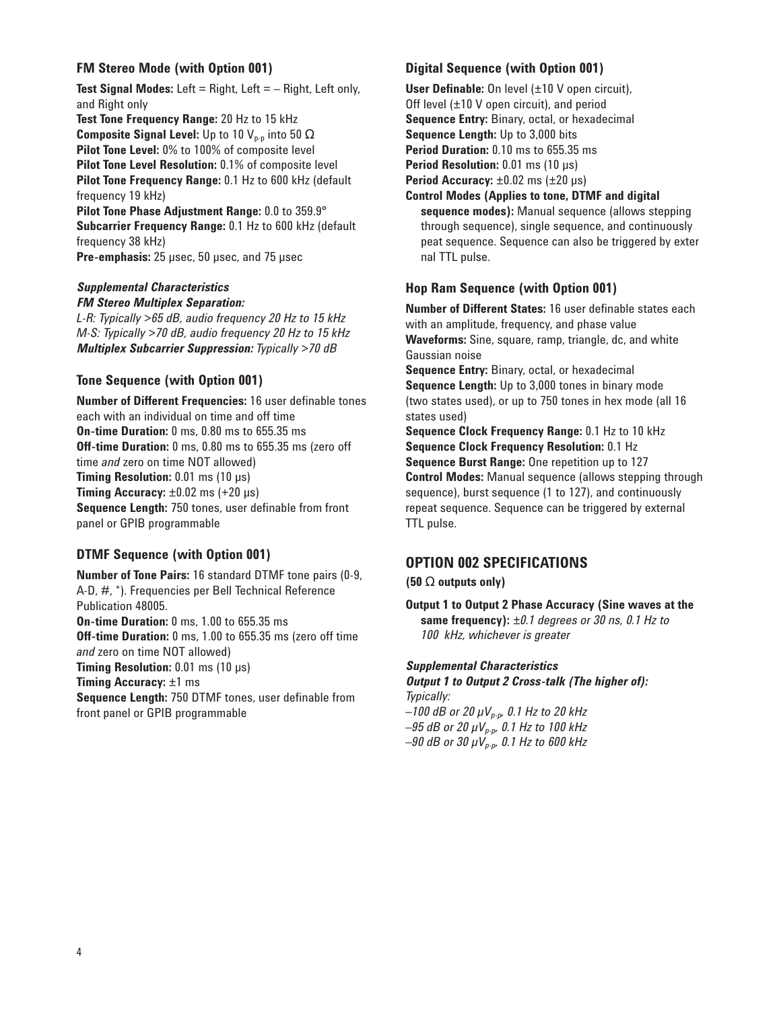## **FM Stereo Mode (with Option 001)**

**Test Signal Modes:** Left = Right, Left = – Right, Left only, and Right only

**Test Tone Frequency Range:** 20 Hz to 15 kHz **Composite Signal Level:** Up to 10 V<sub>p-p</sub> into 50  $\Omega$ **Pilot Tone Level:** 0% to 100% of composite level **Pilot Tone Level Resolution:** 0.1% of composite level **Pilot Tone Frequency Range:** 0.1 Hz to 600 kHz (default frequency 19 kHz)

**Pilot Tone Phase Adjustment Range:** 0.0 to 359.9° **Subcarrier Frequency Range:** 0.1 Hz to 600 kHz (default frequency 38 kHz)

**Pre-emphasis:** 25 µsec, 50 µsec, and 75 µsec

#### *Supplemental Characteristics FM Stereo Multiplex Separation:*

*L-R: Typically >65 dB, audio frequency 20 Hz to 15 kHz M-S: Typically >70 dB, audio frequency 20 Hz to 15 kHz Multiplex Subcarrier Suppression: Typically >70 dB*

## **Tone Sequence (with Option 001)**

**Number of Different Frequencies:** 16 user definable tones each with an individual on time and off time **On-time Duration:** 0 ms, 0.80 ms to 655.35 ms **Off-time Duration:** 0 ms, 0.80 ms to 655.35 ms (zero off time *and* zero on time NOT allowed) **Timing Resolution:** 0.01 ms (10 µs) **Timing Accuracy:**  $\pm 0.02$  ms ( $+20 \mu s$ ) **Sequence Length:** 750 tones, user definable from front panel or GPIB programmable

## **DTMF Sequence (with Option 001)**

**Number of Tone Pairs:** 16 standard DTMF tone pairs (0-9, A-D, #, \*). Frequencies per Bell Technical Reference Publication 48005. **On-time Duration:** 0 ms, 1.00 to 655.35 ms **Off-time Duration:** 0 ms, 1.00 to 655.35 ms (zero off time *and* zero on time NOT allowed) **Timing Resolution:** 0.01 ms (10 µs) **Timing Accuracy:** ±1 ms **Sequence Length:** 750 DTMF tones, user definable from front panel or GPIB programmable

## **Digital Sequence (with Option 001)**

**User Definable:** On level (±10 V open circuit), Off level (±10 V open circuit), and period **Sequence Entry:** Binary, octal, or hexadecimal **Sequence Length:** Up to 3,000 bits **Period Duration:** 0.10 ms to 655.35 ms **Period Resolution:** 0.01 ms (10 µs) **Period Accuracy:** ±0.02 ms (±20 µs)

**Control Modes (Applies to tone, DTMF and digital sequence modes):** Manual sequence (allows stepping through sequence), single sequence, and continuously peat sequence. Sequence can also be triggered by exter nal TTL pulse.

## **Hop Ram Sequence (with Option 001)**

**Number of Different States:** 16 user definable states each with an amplitude, frequency, and phase value **Waveforms:** Sine, square, ramp, triangle, dc, and white Gaussian noise

**Sequence Entry:** Binary, octal, or hexadecimal **Sequence Length:** Up to 3,000 tones in binary mode (two states used), or up to 750 tones in hex mode (all 16 states used)

**Sequence Clock Frequency Range:** 0.1 Hz to 10 kHz **Sequence Clock Frequency Resolution:** 0.1 Hz **Sequence Burst Range:** One repetition up to 127 **Control Modes:** Manual sequence (allows stepping through sequence), burst sequence (1 to 127), and continuously repeat sequence. Sequence can be triggered by external TTL pulse.

## **OPTION 002 SPECIFICATIONS**

**(50** Ω **outputs only)**

**Output 1 to Output 2 Phase Accuracy (Sine waves at the same frequency):** *±0.1 degrees or 30 ns, 0.1 Hz to 100 kHz, whichever is greater*

## *Supplemental Characteristics*

*Output 1 to Output 2 Cross-talk (The higher of): Typically:* 

*–100 dB or 20 µVp-p, 0.1 Hz to 20 kHz –95 dB or 20 µVp-p, 0.1 Hz to 100 kHz –90 dB or 30 µVp-p, 0.1 Hz to 600 kHz*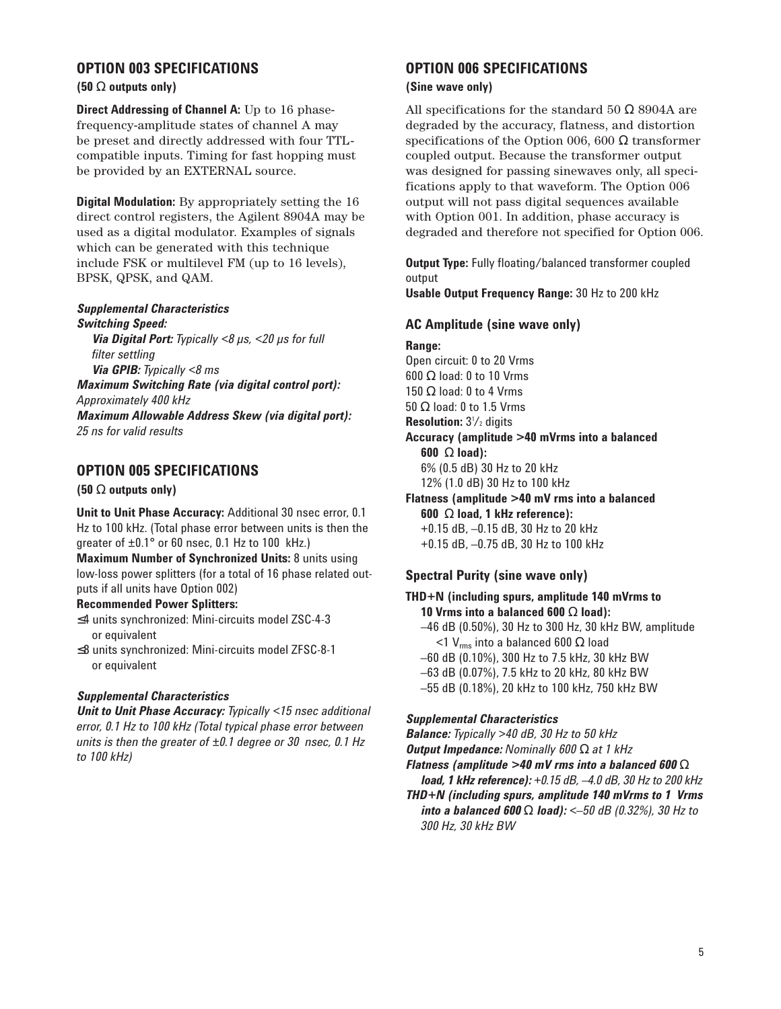## **OPTION 003 SPECIFICATIONS**

#### **(50** Ω **outputs only)**

**Direct Addressing of Channel A:** Up to 16 phasefrequency-amplitude states of channel A may be preset and directly addressed with four TTLcompatible inputs. Timing for fast hopping must be provided by an EXTERNAL source.

**Digital Modulation:** By appropriately setting the 16 direct control registers, the Agilent 8904A may be used as a digital modulator. Examples of signals which can be generated with this technique include FSK or multilevel FM (up to 16 levels), BPSK, QPSK, and QAM.

#### *Supplemental Characteristics Switching Speed:*

*Via Digital Port: Typically <8 µs, <20 µs for full filter settling*

*Via GPIB: Typically <8 ms*

*Maximum Switching Rate (via digital control port): Approximately 400 kHz* 

*Maximum Allowable Address Skew (via digital port): 25 ns for valid results*

## **OPTION 005 SPECIFICATIONS**

#### **(50** Ω **outputs only)**

**Unit to Unit Phase Accuracy:** Additional 30 nsec error, 0.1 Hz to 100 kHz. (Total phase error between units is then the greater of ±0.1° or 60 nsec, 0.1 Hz to 100 kHz.)

**Maximum Number of Synchronized Units:** 8 units using low-loss power splitters (for a total of 16 phase related outputs if all units have Option 002)

#### **Recommended Power Splitters:**

- ≤4 units synchronized: Mini-circuits model ZSC-4-3 or equivalent
- ≤8 units synchronized: Mini-circuits model ZFSC-8-1 or equivalent

#### *Supplemental Characteristics*

*Unit to Unit Phase Accuracy: Typically <15 nsec additional error, 0.1 Hz to 100 kHz (Total typical phase error between units is then the greater of ±0.1 degree or 30 nsec, 0.1 Hz to 100 kHz)*

## **OPTION 006 SPECIFICATIONS**

#### **(Sine wave only)**

All specifications for the standard 50  $\Omega$  8904A are degraded by the accuracy, flatness, and distortion specifications of the Option 006, 600  $\Omega$  transformer coupled output. Because the transformer output was designed for passing sinewaves only, all specifications apply to that waveform. The Option 006 output will not pass digital sequences available with Option 001. In addition, phase accuracy is degraded and therefore not specified for Option 006.

**Output Type:** Fully floating/balanced transformer coupled output

**Usable Output Frequency Range:** 30 Hz to 200 kHz

#### **AC Amplitude (sine wave only)**

**Range:**  Open circuit: 0 to 20 Vrms 600 Ω load: 0 to 10 Vrms 150  $\Omega$  load: 0 to 4 Vrms 50 Ω load: 0 to 1.5 Vrms **Resolution:** 3<sup>1</sup>/<sub>2</sub> digits **Accuracy (amplitude >40 mVrms into a balanced 600** Ω **load):** 6% (0.5 dB) 30 Hz to 20 kHz 12% (1.0 dB) 30 Hz to 100 kHz **Flatness (amplitude >40 mV rms into a balanced 600** Ω **load, 1 kHz reference):** +0.15 dB, –0.15 dB, 30 Hz to 20 kHz +0.15 dB, –0.75 dB, 30 Hz to 100 kHz

#### **Spectral Purity (sine wave only)**

# **THD+N (including spurs, amplitude 140 mVrms to 10 Vrms into a balanced 600** Ω **load):**

–46 dB (0.50%), 30 Hz to 300 Hz, 30 kHz BW, amplitude <1 V<sub>rms</sub> into a balanced 600 Ω load

- –60 dB (0.10%), 300 Hz to 7.5 kHz, 30 kHz BW
- –63 dB (0.07%), 7.5 kHz to 20 kHz, 80 kHz BW
- –55 dB (0.18%), 20 kHz to 100 kHz, 750 kHz BW

#### *Supplemental Characteristics*

*Balance: Typically >40 dB, 30 Hz to 50 kHz* 

*Output Impedance: Nominally 600* Ω *at 1 kHz* 

*Flatness (amplitude >40 mV rms into a balanced 600* Ω

- *load, 1 kHz reference): +0.15 dB, –4.0 dB, 30 Hz to 200 kHz*
- *THD+N (including spurs, amplitude 140 mVrms to 1 Vrms into a balanced 600* Ω *load): <–50 dB (0.32%), 30 Hz to 300 Hz, 30 kHz BW*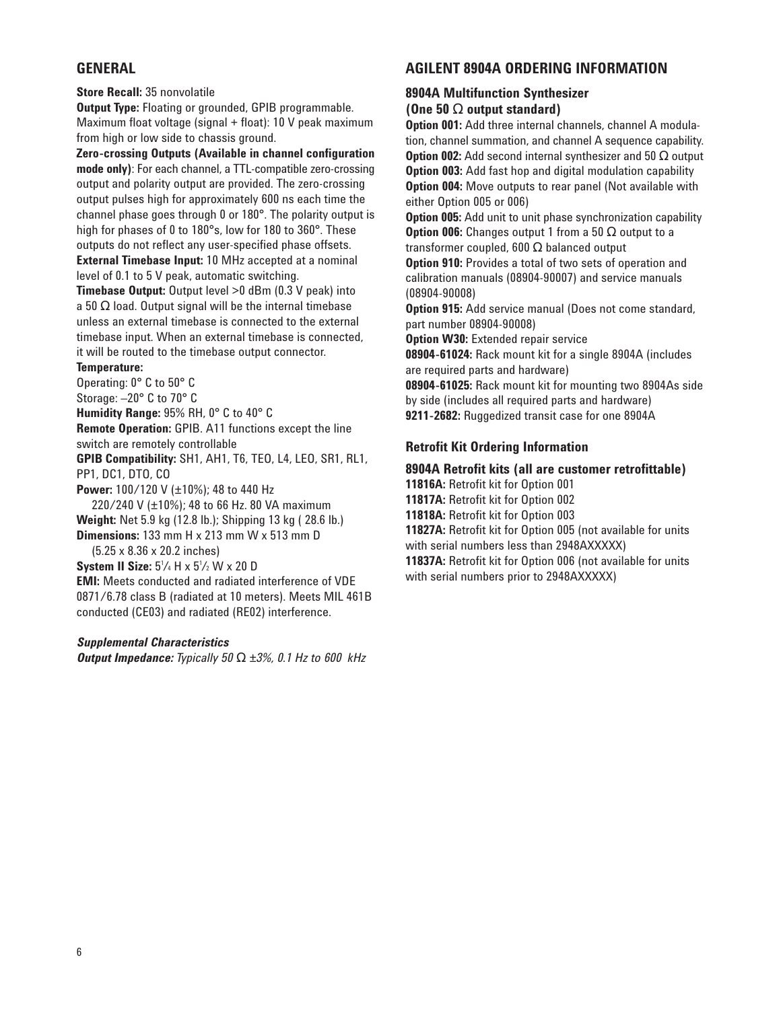## **GENERAL**

**Store Recall:** 35 nonvolatile

**Output Type:** Floating or grounded, GPIB programmable. Maximum float voltage (signal + float): 10 V peak maximum from high or low side to chassis ground.

**Zero-crossing Outputs (Available in channel configuration mode only)**: For each channel, a TTL-compatible zero-crossing output and polarity output are provided. The zero-crossing output pulses high for approximately 600 ns each time the channel phase goes through 0 or 180°. The polarity output is high for phases of 0 to 180°s, low for 180 to 360°. These outputs do not reflect any user-specified phase offsets.

**External Timebase Input:** 10 MHz accepted at a nominal level of 0.1 to 5 V peak, automatic switching.

**Timebase Output:** Output level >0 dBm (0.3 V peak) into a 50  $\Omega$  load. Output signal will be the internal timebase unless an external timebase is connected to the external timebase input. When an external timebase is connected, it will be routed to the timebase output connector.

#### **Temperature:**

Operating: 0° C to 50° C Storage: –20° C to 70° C **Humidity Range:** 95% RH, 0° C to 40° C **Remote Operation:** GPIB. A11 functions except the line switch are remotely controllable **GPIB Compatibility:** SH1, AH1, T6, TEO, L4, LEO, SR1, RL1,

PP1, DC1, DTO, CO

**Power:** 100/120 V (±10%); 48 to 440 Hz

220/240 V (±10%); 48 to 66 Hz. 80 VA maximum **Weight:** Net 5.9 kg (12.8 lb.); Shipping 13 kg ( 28.6 lb.) **Dimensions:** 133 mm H x 213 mm W x 513 mm D

(5.25 x 8.36 x 20.2 inches)

**System II Size:**  $5\frac{1}{4}$  H x  $5\frac{1}{2}$  W x 20 D

**EMI:** Meets conducted and radiated interference of VDE 0871/6.78 class B (radiated at 10 meters). Meets MIL 461B conducted (CE03) and radiated (RE02) interference.

#### *Supplemental Characteristics*

*Output Impedance: Typically 50* Ω *±3%, 0.1 Hz to 600 kHz*

## **AGILENT 8904A ORDERING INFORMATION**

## **8904A Multifunction Synthesizer**

## **(One 50** Ω **output standard)**

**Option 001:** Add three internal channels, channel A modulation, channel summation, and channel A sequence capability. **Option 002:** Add second internal synthesizer and 50 Ω output **Option 003:** Add fast hop and digital modulation capability **Option 004:** Move outputs to rear panel (Not available with either Option 005 or 006)

**Option 005:** Add unit to unit phase synchronization capability **Option 006:** Changes output 1 from a 50 Ω output to a transformer coupled, 600  $\Omega$  balanced output

**Option 910:** Provides a total of two sets of operation and calibration manuals (08904-90007) and service manuals (08904-90008)

**Option 915:** Add service manual (Does not come standard, part number 08904-90008)

**Option W30: Extended repair service** 

**08904-61024:** Rack mount kit for a single 8904A (includes are required parts and hardware)

**08904-61025:** Rack mount kit for mounting two 8904As side by side (includes all required parts and hardware) **9211-2682:** Ruggedized transit case for one 8904A

## **Retrofit Kit Ordering Information**

## **8904A Retrofit kits (all are customer retrofittable)**

**11816A:** Retrofit kit for Option 001 **11817A:** Retrofit kit for Option 002 **11818A:** Retrofit kit for Option 003 **11827A:** Retrofit kit for Option 005 (not available for units with serial numbers less than 2948AXXXXX)

**11837A:** Retrofit kit for Option 006 (not available for units with serial numbers prior to 2948AXXXXX)